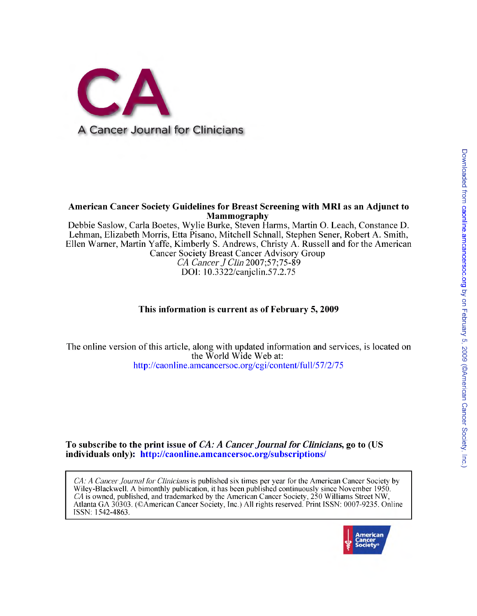

## **American Cancer Society Guidelines for Breast Screening with MRI as an Adjunct to Mammography**

Debbie Saslow, Carla Boetes, Wylie Burke, Steven Harms, Martin O. Leach, Constance D. Lehman, Elizabeth Morris, Etta Pisano, Mitchell Schnall, Stephen Sener, Robert A. Smith, Ellen Warner, Martin Yaffe, Kimberly S. Andrews, Christy A. Russell and for the American Cancer Society Breast Cancer Advisory Group

*CA Cancer J Clin* 2007;57;75-89 DOI: 10.3322/canjclin.57.2.75

## **This information is current as of February 5, 2009**

The online version of this article, along with updated information and services, is located on the World Wide Web at: <http://caonline.amcancersoc.org/cgi/content/full/57/2/75>

**To subscribe to the print issue of** *CA: A Cancer Journal for Clinicians,* **go to (US individuals only):<http://caonline.amcancersoc.org/subscriptions/>**

*CA: A Cancer Journal for Clinicians* is published six times per year for the American Cancer Society by Wiley-Blackwell. A bimonthly publication, it has been published continuously since November 1950. *CA* is owned, published, and trademarked by the American Cancer Society, 250 Williams Street NW, Atlanta GA 30303. (©American Cancer Society, Inc.) All rights reserved. Print ISSN: 0007-9235. Online ISSN: 1542-4863.

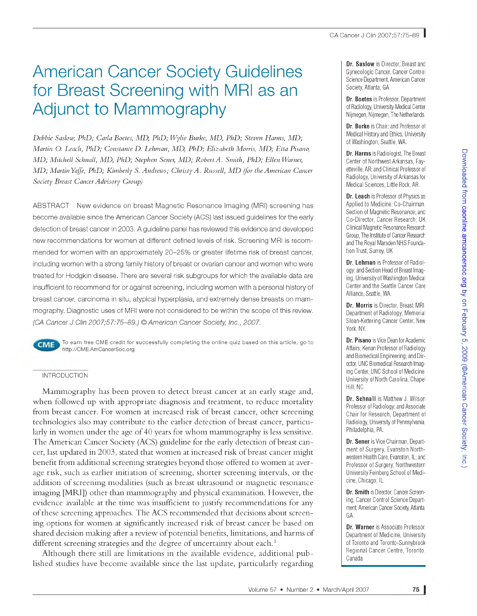# American Cancer Society Guidelines for Breast Screening with MRI as an Adjunct to Mammography

Debbie Saslow, PhD; Carla Boetes, MD, PhD; Wylie Burke, MD, PhD; Steven Harms, MD; *Martin O. Leach, PhD; Constance D. Lehman, MD, PhD; Elizabeth Morris, MD; Etta Pisano, M D ; Mitchell Schnall, M D , PhD ; Stephen Sener, M D ; Robert A . Smith, PhD ; Ellen Warner, M D ; Martin Yaffe, PhD; Kimberly S. Andrews; Christy A . Russell, M D (for the American Cancer Society Breast Cancer Advisory Group)*

ABSTRACT New evidence on breast Magnetic Resonance Imaging (MRI) screening has become available since the American Cancer Society (ACS) last issued guidelines for the early detection of breast cancer in 2003. A guideline panel has reviewed this evidence and developed new recommendations for women at different defined levels of risk. Screening MRI is recommended for women with an approximately 20-25% or greater lifetime risk of breast cancer, including women with a strong family history of breast or ovarian cancer and women who were treated for Hodgkin disease. There are several risk subgroups for which the available data are insufficient to recommend for or against screening, including women with a personal history of breast cancer, carcinoma in situ, atypical hyperplasia, and extremely dense breasts on mammography. Diagnostic uses of MRI were not considered to be within the scope of this review. *(CA Cancer J Clin 2007;57:75-89.)* © *American Cancer Society, Inc., 2007.*



To earn free CME credit for successfully completing the online quiz based on this article, go to http://CME.AmCancerSoc.org.

#### INTRODUCTION

Mammography has been proven to detect breast cancer at an early stage and, when followed up with appropriate diagnosis and treatment, to reduce mortality from breast cancer. For women at increased risk of breast cancer, other screening technologies also may contribute to the earlier detection of breast cancer, particularly in women under the age of 40 years for whom mammography is less sensitive. The American Cancer Society (ACS) guideline for the early detection of breast cancer, last updated in 2003, stated that women at increased risk of breast cancer might benefit from additional screening strategies beyond those offered to women at average risk, such as earlier initiation of screening, shorter screening intervals, or the addition of screening modalities (such as breast ultrasound or magnetic resonance imaging [MRI]) other than mammography and physical examination. However, the evidence available at the time was insufficient to justify recommendations for any of these screening approaches. The ACS recommended that decisions about screening options for women at significantly increased risk of breast cancer be based on shared decision making after a review of potential benefits, limitations, and harms of different screening strategies and the degree of uncertainty about each.<sup>1</sup>

Although there still are limitations in the available evidence, additional published studies have become available since the last update, particularly regarding Dr. Saslow is Director, Breast and Gynecologic Cancer, Cancer Control Science Department, American Cancer Society, Atlanta, GA.

Dr. Boetes is Professor, Department of Radiology, University Medical Center Nijmegen, Nijmegen, The Netherlands.

Dr. Burke is Chair; and Professor of Medical History and Ethics, University of Washington, Seattle, WA.

Dr. Harms is Radiologist, The Breast Center of Northwest Arkansas, Fayetteville, AR; and Clinical Professor of Radiology, University of Arkansas for Medical Sciences, Little Rock, AR.

Dr. Leach is Professor of Physics as Applied to Medicine: Co-Chairman, Section of Magnetic Resonance; and Co-Director, Cancer Research; UK Clinical Magnetic Resonance Research Group, The Institute of Cancer Research and The Royal Marsden NHS Foundation Trust, Surrey, UK.

Dr. Lehman is Professor of Radiology; and Section Head of Breast Imaging, University of Washington Medical Center and the Seattle Cancer Care Alliance, Seattle, WA.

Dr. Morris is Director, Breast MRI Department of Radiology, Memorial Sloan-Kettering Cancer Center, New York, NY.

Dr. Pisano is Vice Dean for Academic Affairs; Kenan Professor of Radiology and Biomedical Engineering; and Director, UNC Biomedical Research Imaging Center, UNC School of Medicine. University of North Carolina, Chapel Hill, NC.

Dr. Schnall is Matthew J. Wilson Professor of Radiology; and Associate Chair for Research, Department of Radiology, University of Pennsylvania. Philadelphia, PA.

Dr. Sener is Vice Chairman, Department of Surgery, Evanston Northwestern Health Care, Evanston, IL; and Professor of Surgery, Northwestern University Feinberg School of Medicine, Chicago, IL.

Dr. Smith is Director, Cancer Screening, Cancer Control Science Department, American Cancer Society, Atlanta. GA.

Dr. Warner is Associate Professor, Department of Medicine, University of Toronto and Toronto-Sunnybrook Regional Cancer Centre, Toronto, C anada.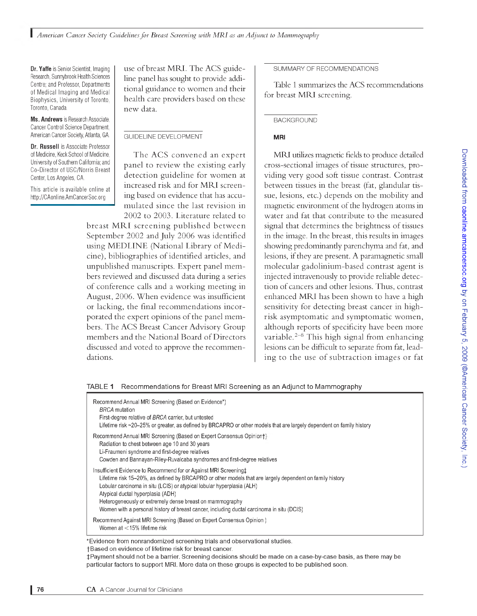Dr. Yaffe is Senior Scientist, Imaging Research, Sunnybrook Health Sciences Centre; and Professor, Departments of Medical Imaging and Medical Biophysics, University of Toronto, Toronto, Canada

Ms. Andrews is Research Associate. Cancer Control Science Department. American Cancer Society, Atlanta, GA.

Dr. Russell is Associate Professor of Medicine, Keck School of Medicine. University of Southern California; and Co-Director of USC/Norris Breast Center, Los Angeles, CA.

This article is available online at http://CA on line.Am Cancer Soc.org

use of breast MRI. The ACS guideline panel has sought to provide additional guidance to women and their health care providers based on these new data.

GUIDELINE DEVELOPMENT

The ACS convened an expert panel to review the existing early detection guideline for women at increased risk and for MRI screening based on evidence that has accumulated since the last revision in 2002 to 2003. Literature related to

breast MRI screening published between September 2002 and July 2006 was identified using MEDLINE (National Library of Medicine), bibliographies of identified articles, and unpublished manuscripts. Expert panel members reviewed and discussed data during a series of conference calls and a working meeting in August, 2006. W hen evidence was insufficient or lacking, the final recommendations incorporated the expert opinions of the panel members. The ACS Breast Cancer Advisory Group members and the National Board of Directors discussed and voted to approve the recommendations.

#### SUMMARY OF RECOMMENDATIONS

Table 1 summarizes the ACS recommendations for breast MRI screening.

## **BACKGROUND**

## **MRI**

MRI utilizes magnetic fields to produce detailed cross-sectional images of tissue structures, providing very good soft tissue contrast. Contrast between tissues in the breast (fat, glandular tissue, lesions, etc.) depends on the mobility and magnetic environment of the hydrogen atoms in water and fat that contribute to the measured signal that determines the brightness of tissues in the image. In the breast, this results in images showing predominantly parenchyma and fat, and lesions, if they are present. A paramagnetic small molecular gadolinium-based contrast agent is injected intravenously to provide reliable detection of cancers and other lesions. Thus, contrast enhanced MRI has been shown to have a high sensitivity for detecting breast cancer in highrisk asymptomatic and symptomatic women, although reports of specificity have been more variable. $2^{-8}$  This high signal from enhancing lesions can be difficult to separate from fat, leading to the use of subtraction images or fat

**TABLE 1 Recommendations for Breast MRI Screening as an Adjunct to Mammography**

| Recommend Annual MRI Screening (Based on Evidence*)<br><b>BRCA</b> mutation<br>First-degree relative of BRCA carrier, but untested<br>Lifetime risk ~20–25% or greater, as defined by BRCAPRO or other models that are largely dependent on family history                                                                                                                                                                                            |  |
|-------------------------------------------------------------------------------------------------------------------------------------------------------------------------------------------------------------------------------------------------------------------------------------------------------------------------------------------------------------------------------------------------------------------------------------------------------|--|
| Recommend Annual MRI Screening (Based on Expert Consensus Opiniont)<br>Radiation to chest between age 10 and 30 years<br>Li-Fraumeni syndrome and first-degree relatives<br>Cowden and Bannayan-Riley-Ruvalcaba syndromes and first-degree relatives                                                                                                                                                                                                  |  |
| Insufficient Evidence to Recommend for or Against MRI Screening t<br>Lifetime risk 15–20%, as defined by BRCAPRO or other models that are largely dependent on family history<br>Lobular carcinoma in situ (LCIS) or atypical lobular hyperplasia (ALH)<br>Atypical ductal hyperplasia (ADH)<br>Heterogeneously or extremely dense breast on mammography<br>Women with a personal history of breast cancer, including ductal carcinoma in situ (DCIS) |  |
| Recommend Against MRI Screening (Based on Expert Consensus Opinion)<br>Women at $<$ 15% lifetime risk                                                                                                                                                                                                                                                                                                                                                 |  |

\*Evidence from nonrandomized screening trials and observational studies.

fBased on evidence of lifetime risk for breast cancer.

^Payment should not be a barrier. Screening decisions should be made on a case-by-case basis, as there may be particular factors to support MRI. More data on these groups is expected to be published soon.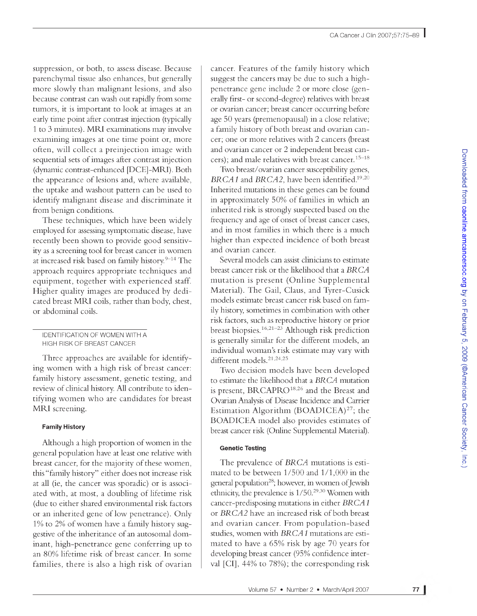suppression, or both, to assess disease. Because parenchymal tissue also enhances, but generally more slowly than malignant lesions, and also because contrast can wash out rapidly from some tumors, it is important to look at images at an early time point after contrast injection (typically 1 to 3 minutes). MRI examinations may involve examining images at one time point or, more often, will collect a preinjection image with sequential sets of images after contrast injection (dynamic contrast-enhanced [DCE]-MRI). Both the appearance of lesions and, where available, the uptake and washout pattern can be used to identify malignant disease and discriminate it from benign conditions.

These techniques, which have been widely employed for assessing symptomatic disease, have recently been shown to provide good sensitivity as a screening tool for breast cancer in women at increased risk based on family history.<sup>9-14</sup> The approach requires appropriate techniques and equipment, together with experienced staff. Higher quality images are produced by dedicated breast MRI coils, rather than body, chest, or abdominal coils.

IDENTIFICATION OF WOMEN WITH A HIGH RISK OF BREAST CANCER

Three approaches are available for identifying women with a high risk of breast cancer: family history assessment, genetic testing, and review of clinical history. All contribute to identifying women who are candidates for breast MRI screening.

## **Family History**

Although a high proportion of women in the general population have at least one relative with breast cancer, for the majority of these women, this "family history" either does not increase risk at all (ie, the cancer was sporadic) or is associated with, at most, a doubling of lifetime risk (due to either shared environmental risk factors or an inherited gene of low penetrance). Only 1% to 2% of women have a family history suggestive of the inheritance of an autosomal dominant, high-penetrance gene conferring up to an 80% lifetime risk of breast cancer. In some families, there is also a high risk of ovarian cancer. Features of the family history which suggest the cancers may be due to such a highpenetrance gene include 2 or more close (generally first- or second-degree) relatives with breast or ovarian cancer; breast cancer occurring before age 50 years (premenopausal) in a close relative; a family history of both breast and ovarian cancer; one or more relatives with 2 cancers (breast and ovarian cancer or 2 independent breast cancers); and male relatives with breast cancer.<sup>15-18</sup>

Two breast/ovarian cancer susceptibility genes, *BRCA1* and *BRCA2,* have been identified.19,20 Inherited mutations in these genes can be found in approximately 50% of families in which an inherited risk is strongly suspected based on the frequency and age of onset of breast cancer cases, and in most families in which there is a much higher than expected incidence of both breast and ovarian cancer.

Several models can assist clinicians to estimate breast cancer risk or the likelihood that a *BRCA* mutation is present (Online Supplemental Material). The Gail, Claus, and Tyrer-Cusick models estimate breast cancer risk based on family history, sometimes in combination with other risk factors, such as reproductive history or prior breast biopsies.16,21-23 Although risk prediction is generally similar for the different models, an individual woman's risk estimate may vary with different models.<sup>21,24,25</sup>

Two decision models have been developed to estimate the likelihood that a *BRCA* mutation is present, BRCAPRO<sup>18,26</sup> and the Breast and Ovarian Analysis of Disease Incidence and Carrier Estimation Algorithm (BOADICEA) $^{27}$ ; the BOADICEA model also provides estimates of breast cancer risk (Online Supplemental Material).

## **Genetic Testing**

The prevalence of *BRCA* mutations is estimated to be between 1/500 and 1/1,000 in the general population<sup>28</sup>; however, in women of Jewish ethnicity, the prevalence is 1/50.29,30 Women with cancer-predisposing mutations in either *BRCA1* or *BRCA2* have an increased risk of both breast and ovarian cancer. From population-based studies, women with *BRCA1* mutations are estimated to have a 65% risk by age 70 years for developing breast cancer (95% confidence interval [CI], 44% to 78%); the corresponding risk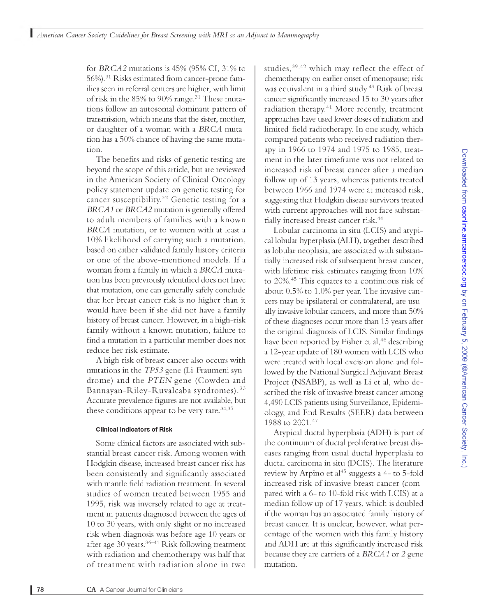for *BRC A2* mutations is 45% (95% CI, 31% to 56%).31 Risks estimated from cancer-prone families seen in referral centers are higher, with limit of risk in the 85% to 90% range.<sup>31</sup> These mutations follow an autosomal dominant pattern of transmission, which means that the sister, mother, or daughter of a woman with a *BRCA* mutation has a 50% chance of having the same mutation.

The benefits and risks of genetic testing are beyond the scope of this article, but are reviewed in the American Society of Clinical Oncology policy statement update on genetic testing for cancer susceptibility.32 Genetic testing for a *BRCA1* or *BRCA2* mutation is generally offered to adult members of families with a known *BRCA* mutation, or to women with at least a 10% likelihood of carrying such a mutation, based on either validated family history criteria or one of the above-mentioned models. If a woman from a family in which a *BRCA* mutation has been previously identified does not have that mutation, one can generally safely conclude that her breast cancer risk is no higher than it would have been if she did not have a family history of breast cancer. However, in a high-risk family without a known mutation, failure to find a mutation in a particular member does not reduce her risk estimate.

A high risk of breast cancer also occurs with mutations in the *TP53* gene (Li-Fraumeni syndrome) and the *PTEN* gene (Cowden and Bannayan-Riley-Ruvalcaba syndromes).<sup>33</sup> Accurate prevalence figures are not available, but these conditions appear to be very rare.  $34,35$ 

#### **Clinical Indicators of Risk**

Some clinical factors are associated with substantial breast cancer risk. Among women with Hodgkin disease, increased breast cancer risk has been consistently and significantly associated with mantle field radiation treatment. In several studies of women treated between 1955 and 1995, risk was inversely related to age at treatment in patients diagnosed between the ages of 10 to 30 years, with only slight or no increased risk when diagnosis was before age 10 years or after age 30 years.36-41 Risk following treatment with radiation and chemotherapy was half that of treatment with radiation alone in two

studies,39,42 which may reflect the effect of chemotherapy on earlier onset of menopause; risk was equivalent in a third study.<sup>43</sup> Risk of breast cancer significantly increased 15 to 30 years after radiation therapy.<sup>41</sup> More recently, treatment approaches have used lower doses of radiation and limited-field radiotherapy. In one study, which compared patients who received radiation therapy in 1966 to 1974 and 1975 to 1985, treatment in the later timeframe was not related to increased risk of breast cancer after a median follow up of 13 years, whereas patients treated between 1966 and 1974 were at increased risk, suggesting that Hodgkin disease survivors treated with current approaches will not face substantially increased breast cancer risk.<sup>44</sup>

Lobular carcinoma in situ (LCIS) and atypical lobular hyperplasia (ALH), together described as lobular neoplasia, are associated with substantially increased risk of subsequent breast cancer, with lifetime risk estimates ranging from 10% to 20%.45 This equates to a continuous risk of about 0.5% to 1.0% per year. The invasive cancers may be ipsilateral or contralateral, are usually invasive lobular cancers, and more than 50% of these diagnoses occur more than 15 years after the original diagnosis of LCIS. Similar findings have been reported by Fisher et al,<sup>46</sup> describing a 12-year update of 180 women with LCIS who were treated with local excision alone and followed by the National Surgical Adjuvant Breast Project (NSABP), as well as Li et al, who described the risk of invasive breast cancer among 4,490 LCIS patients using Surveillance, Epidemiology, and End Results (SEER) data between 1988 to 2001.47

Atypical ductal hyperplasia (ADH) is part of the continuum of ductal proliferative breast diseases ranging from usual ductal hyperplasia to ductal carcinoma in situ (DCIS). The literature review by Arpino et  $al<sup>45</sup>$  suggests a 4- to 5-fold increased risk of invasive breast cancer (compared with a 6- to 10-fold risk with LCIS) at a median follow up of 17 years, which is doubled if the woman has an associated family history of breast cancer. It is unclear, however, what percentage of the women with this family history and ADH are at this significantly increased risk because they are carriers of a *BRCA1* or *2* gene mutation.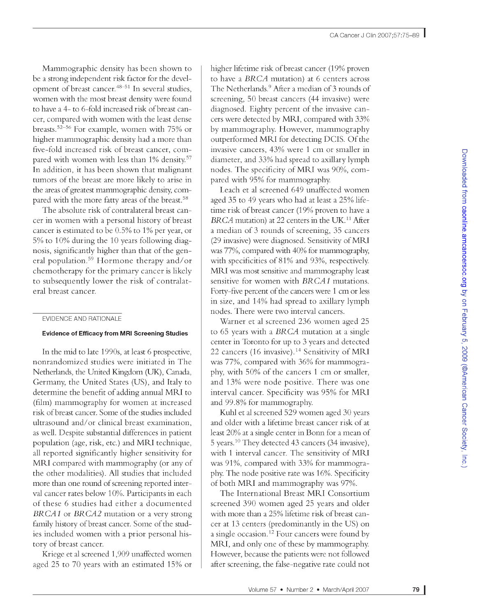Mammographic density has been shown to be a strong independent risk factor for the development of breast cancer.48-51 In several studies, women with the most breast density were found to have a 4- to 6-fold increased risk of breast cancer, compared with women with the least dense breasts.52-56 For example, women with 75% or higher mammographic density had a more than five-fold increased risk of breast cancer, compared with women with less than 1% density.57 In addition, it has been shown that malignant tumors of the breast are more likely to arise in the areas of greatest mammographic density, compared with the more fatty areas of the breast.<sup>58</sup>

The absolute risk of contralateral breast cancer in women with a personal history of breast cancer is estimated to be 0.5% to 1% per year, or 5% to 10% during the 10 years following diagnosis, significantly higher than that of the general population.<sup>59</sup> Hormone therapy and/or chemotherapy for the primary cancer is likely to subsequently lower the risk of contralateral breast cancer.

#### EVIDENCE AND RATIONALE

#### **Evidence of Efficacy from MRI Screening Studies**

In the mid to late 1990s, at least 6 prospective, nonrandomized studies were initiated in The Netherlands, the United Kingdom (UK), Canada, Germany, the United States (US), and Italy to determine the benefit of adding annual MRI to (film) mammography for women at increased risk of breast cancer. Some of the studies included ultrasound and/or clinical breast examination, as well. Despite substantial differences in patient population (age, risk, etc.) and MRI technique, all reported significantly higher sensitivity for MRI compared with mammography (or any of the other modalities). All studies that included more than one round of screening reported interval cancer rates below 10%. Participants in each of these 6 studies had either a documented *BRCA1* or *BRCA2* mutation or a very strong family history of breast cancer. Some of the studies included women with a prior personal history of breast cancer.

Kriege et al screened 1,909 unaffected women aged 25 to 70 years with an estimated 15% or higher lifetime risk of breast cancer (19% proven to have a *BRCA* mutation) at 6 centers across The Netherlands.<sup>9</sup> After a median of 3 rounds of screening, 50 breast cancers (44 invasive) were diagnosed. Eighty percent of the invasive cancers were detected by MRI, compared with 33% by mammography. However, mammography outperformed MRI for detecting DCIS. Of the invasive cancers, 43% were 1 cm or smaller in diameter, and 33% had spread to axillary lymph nodes. The specificity of MRI was 90%, compared with 95% for mammography.

Leach et al screened 649 unaffected women aged 35 to 49 years who had at least a 25% lifetime risk of breast cancer (19% proven to have a *BRCA* mutation) at 22 centers in the UK.<sup>11</sup> After a median of 3 rounds of screening, 35 cancers (29 invasive) were diagnosed. Sensitivity of MRI was 77%, compared with 40% for mammography, with specificities of 81% and 93%, respectively. MRI was most sensitive and mammography least sensitive for women with *BRCA1* mutations. Forty-five percent of the cancers were 1 cm or less in size, and 14% had spread to axillary lymph nodes. There were two interval cancers.

Warner et al screened 236 women aged 25 to 65 years with a *BRCA* mutation at a single center in Toronto for up to 3 years and detected 22 cancers (16 invasive).<sup>14</sup> Sensitivity of MRI was 77%, compared with 36% for mammography, with 50% of the cancers 1 cm or smaller, and 13% were node positive. There was one interval cancer. Specificity was 95% for MRI and 99.8% for mammography.

Kuhl et al screened 529 women aged 30 years and older with a lifetime breast cancer risk of at least 20% at a single center in Bonn for a mean of 5 years.10 They detected 43 cancers (34 invasive), with 1 interval cancer. The sensitivity of MRI was 91%, compared with 33% for mammography. The node positive rate was 16%. Specificity of both MRI and mammography was 97%.

The International Breast MRI Consortium screened 390 women aged 25 years and older with more than a 25% lifetime risk of breast cancer at 13 centers (predominantly in the US) on a single occasion.12 Four cancers were found by MRI, and only one of these by mammography. However, because the patients were not followed after screening, the false-negative rate could not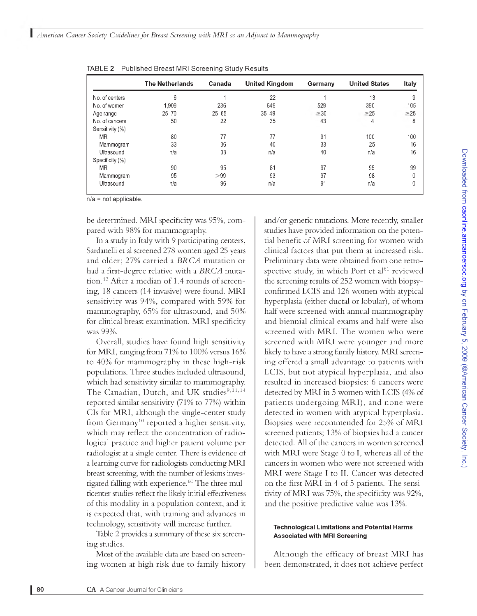|                 | <b>The Netherlands</b> | Canada    | <b>United Kingdom</b> | Germany   | <b>United States</b> | Italy     |
|-----------------|------------------------|-----------|-----------------------|-----------|----------------------|-----------|
| No. of centers  | 6                      |           | 22                    |           | 13                   | 9         |
| No. of women    | 1.909                  | 236       | 649                   | 529       | 390                  | 105       |
| Age range       | $25 - 70$              | $25 - 65$ | $35 - 49$             | $\geq 30$ | $\geq$ 25            | $\geq$ 25 |
| No. of cancers  | 50                     | 22        | 35                    | 43        | 4                    | 8         |
| Sensitivity (%) |                        |           |                       |           |                      |           |
| <b>MRI</b>      | 80                     | 77        | 77                    | 91        | 100                  | 100       |
| Mammogram       | 33                     | 36        | 40                    | 33        | 25                   | 16        |
| Ultrasound      | n/a                    | 33        | n/a                   | 40        | n/a                  | 16        |
| Specificity (%) |                        |           |                       |           |                      |           |
| <b>MRI</b>      | 90                     | 95        | 81                    | 97        | 95                   | 99        |
| Mammogram       | 95                     | > 99      | 93                    | 97        | 98                   | 0         |
| Ultrasound      | n/a                    | 96        | n/a                   | 91        | n/a                  | 0         |
|                 |                        |           |                       |           |                      |           |

|  | TABLE 2 Published Breast MRI Screening Study Results |  |  |
|--|------------------------------------------------------|--|--|
|--|------------------------------------------------------|--|--|

n/a = not applicable.

be determined. MRI specificity was 95%, compared with 98% for mammography.

In a study in Italy with 9 participating centers, Sardanelli et al screened 278 women aged 25 years and older; 27% carried a BRCA mutation or had a first-degree relative with a *BRC A* mutation.13 After a median of 1.4 rounds of screening, 18 cancers (14 invasive) were found. MRI sensitivity was 94%, compared with 59% for mammography, 65% for ultrasound, and 50% for clinical breast examination. MRI specificity was 99%.

Overall, studies have found high sensitivity for MRI, ranging from 71% to 100% versus 16% to 40% for mammography in these high-risk populations. Three studies included ultrasound, which had sensitivity similar to mammography. The Canadian, Dutch, and UK studies9,11,14 reported similar sensitivity (71% to 77%) within CIs for MRI, although the single-center study from Germany10 reported a higher sensitivity, which may reflect the concentration of radiological practice and higher patient volume per radiologist at a single center. There is evidence of a learning curve for radiologists conducting MRI breast screening, with the number of lesions investigated falling with experience.<sup>60</sup> The three multicenter studies reflect the likely initial effectiveness of this modality in a population context, and it is expected that, with training and advances in technology, sensitivity will increase further.

Table 2 provides a summary of these six screening studies.

Most of the available data are based on screening women at high risk due to family history and/or genetic mutations. More recently, smaller studies have provided information on the potential benefit of MRI screening for women with clinical factors that put them at increased risk. Preliminary data were obtained from one retrospective study, in which Port et  $a^{61}$  reviewed the screening results of 252 women with biopsyconfirmed LCIS and 126 women with atypical hyperplasia (either ductal or lobular), of whom half were screened with annual mammography and biennial clinical exams and half were also screened with MRI. The women who were screened with MRI were younger and more likely to have a strong family history. MRI screening offered a small advantage to patients with LCIS, but not atypical hyperplasia, and also resulted in increased biopsies: 6 cancers were detected by MRI in 5 women with LCIS (4% of patients undergoing MRI), and none were detected in women with atypical hyperplasia. Biopsies were recommended for 25% of MRI screened patients; 13% of biopsies had a cancer detected. All of the cancers in women screened with MRI were Stage  $0$  to I, whereas all of the cancers in women who were not screened with MRI were Stage I to II. Cancer was detected on the first MRI in 4 of 5 patients. The sensitivity of MRI was 75%, the specificity was 92%, and the positive predictive value was 13%.

## **Technological Limitations and Potential Harms Associated with MRI Screening**

Although the efficacy of breast MRI has been demonstrated, it does not achieve perfect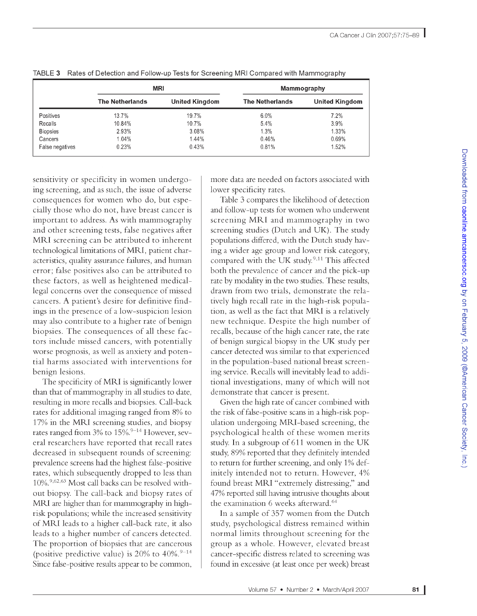|                 | <b>MRI</b>             |                       | Mammography            |                       |  |
|-----------------|------------------------|-----------------------|------------------------|-----------------------|--|
|                 | <b>The Netherlands</b> | <b>United Kingdom</b> | <b>The Netherlands</b> | <b>United Kingdom</b> |  |
| Positives       | 13.7%                  | 19.7%                 | 6.0%                   | 7.2%                  |  |
| <b>Recalls</b>  | 10.84%                 | 10.7%                 | 5.4%                   | 3.9%                  |  |
| <b>Biopsies</b> | 2.93%                  | 3.08%                 | 1.3%                   | 1.33%                 |  |
| Cancers         | 1.04%                  | 1.44%                 | 0.46%                  | 0.69%                 |  |
| False negatives | 0.23%                  | 0.43%                 | 0.81%                  | 1.52%                 |  |

**TABLE 3 Rates of Detection and Follow-up Tests for Screening MRI Compared with Mammography**

sensitivity or specificity in women undergoing screening, and as such, the issue of adverse consequences for women who do, but especially those who do not, have breast cancer is important to address. As with mammography and other screening tests, false negatives after MRI screening can be attributed to inherent technological limitations of MRI, patient characteristics, quality assurance failures, and human error; false positives also can be attributed to these factors, as well as heightened medicallegal concerns over the consequence of missed cancers. A patient's desire for definitive findings in the presence of a low-suspicion lesion may also contribute to a higher rate of benign biopsies. The consequences of all these factors include missed cancers, with potentially worse prognosis, as well as anxiety and potential harms associated with interventions for benign lesions.

The specificity of MRI is significantly lower than that of mammography in all studies to date, resulting in more recalls and biopsies. Call-back rates for additional imaging ranged from 8% to 17% in the MRI screening studies, and biopsy rates ranged from 3% to 15%.<sup>9-14</sup> However, several researchers have reported that recall rates decreased in subsequent rounds of screening: prevalence screens had the highest false-positive rates, which subsequently dropped to less than 10%.9,62,63 Most call backs can be resolved without biopsy. The call-back and biopsy rates of MRI are higher than for mammography in highrisk populations; while the increased sensitivity of MRI leads to a higher call-back rate, it also leads to a higher number of cancers detected. The proportion of biopsies that are cancerous (positive predictive value) is 20% to  $40\%$ .<sup>9-14</sup> Since false-positive results appear to be common,

more data are needed on factors associated with lower specificity rates.

Table 3 compares the likelihood of detection and follow-up tests for women who underwent screening MRI and mammography in two screening studies (Dutch and UK). The study populations differed, with the Dutch study having a wider age group and lower risk category, compared with the UK study.<sup>9,11</sup> This affected both the prevalence of cancer and the pick-up rate by modality in the two studies. These results, drawn from two trials, demonstrate the relatively high recall rate in the high-risk population, as well as the fact that MRI is a relatively new technique. Despite the high number of recalls, because of the high cancer rate, the rate of benign surgical biopsy in the UK study per cancer detected was similar to that experienced in the population-based national breast screening service. Recalls will inevitably lead to additional investigations, many of which will not demonstrate that cancer is present.

Given the high rate of cancer combined with the risk of false-positive scans in a high-risk population undergoing MRI-based screening, the psychological health of these women merits study. In a subgroup of 611 women in the UK study, 89% reported that they definitely intended to return for further screening, and only 1% definitely intended not to return. However, 4% found breast MRI "extremely distressing," and 47% reported still having intrusive thoughts about the examination 6 weeks afterward.<sup>64</sup>

In a sample of 357 women from the Dutch study, psychological distress remained within normal limits throughout screening for the group as a whole. However, elevated breast cancer-specific distress related to screening was found in excessive (at least once per week) breast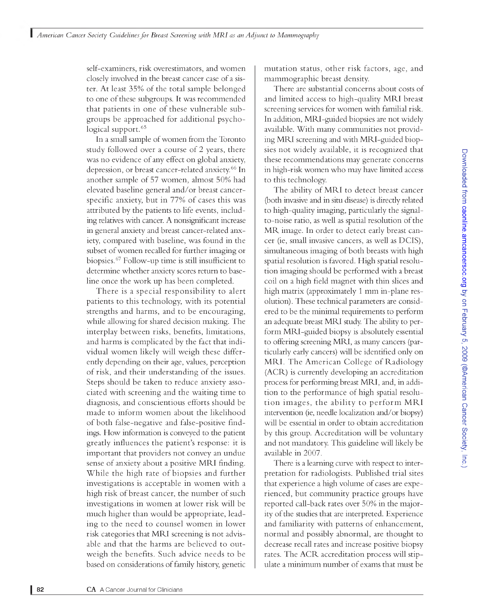self-examiners, risk overestimators, and women closely involved in the breast cancer case of a sister. At least 35% of the total sample belonged to one of these subgroups. It was recommended that patients in one of these vulnerable subgroups be approached for additional psychological support.<sup>65</sup>

In a small sample of women from the Toronto study followed over a course of 2 years, there was no evidence of any effect on global anxiety, depression, or breast cancer-related anxiety.<sup>66</sup> In another sample of 57 women, almost 50% had elevated baseline general and/or breast cancerspecific anxiety, but in 77% of cases this was attributed by the patients to life events, including relatives with cancer. A nonsignificant increase in general anxiety and breast cancer-related anxiety, compared with baseline, was found in the subset of women recalled for further imaging or biopsies.67 Follow-up time is still insufficient to determine whether anxiety scores return to baseline once the work up has been completed.

There is a special responsibility to alert patients to this technology, with its potential strengths and harms, and to be encouraging, while allowing for shared decision making. The interplay between risks, benefits, limitations, and harms is complicated by the fact that individual women likely will weigh these differently depending on their age, values, perception of risk, and their understanding of the issues. Steps should be taken to reduce anxiety associated with screening and the waiting time to diagnosis, and conscientious efforts should be made to inform women about the likelihood of both false-negative and false-positive findings. How information is conveyed to the patient greatly influences the patient's response: it is important that providers not convey an undue sense of anxiety about a positive MRI finding. While the high rate of biopsies and further investigations is acceptable in women with a high risk of breast cancer, the number of such investigations in women at lower risk will be much higher than would be appropriate, leading to the need to counsel women in lower risk categories that MRI screening is not advisable and that the harms are believed to outweigh the benefits. Such advice needs to be based on considerations of family history, genetic

mutation status, other risk factors, age, and mammographic breast density.

There are substantial concerns about costs of and limited access to high-quality MRI breast screening services for women with familial risk. In addition, MRI-guided biopsies are not widely available. With many communities not providing MRI screening and with MRI-guided biopsies not widely available, it is recognized that these recommendations may generate concerns in high-risk women who may have limited access to this technology.

The ability of MRI to detect breast cancer (both invasive and in situ disease) is directly related to high-quality imaging, particularly the signalto-noise ratio, as well as spatial resolution of the MR image. In order to detect early breast cancer (ie, small invasive cancers, as well as DCIS), simultaneous imaging of both breasts with high spatial resolution is favored. High spatial resolution imaging should be performed with a breast coil on a high field magnet with thin slices and high matrix (approximately 1 mm in-plane resolution). These technical parameters are considered to be the minimal requirements to perform an adequate breast MRI study. The ability to perform MRI-guided biopsy is absolutely essential to offering screening MRI, as many cancers (particularly early cancers) will be identified only on MRI. The American College of Radiology (ACR) is currently developing an accreditation process for performing breast MRI, and, in addition to the performance of high spatial resolution images, the ability to perform MRI intervention (ie, needle localization and/or biopsy) will be essential in order to obtain accreditation by this group. Accreditation will be voluntary and not mandatory. This guideline will likely be available in 2007.

There is a learning curve with respect to interpretation for radiologists. Published trial sites that experience a high volume of cases are experienced, but community practice groups have reported call-back rates over 50% in the majority of the studies that are interpreted. Experience and familiarity with patterns of enhancement, normal and possibly abnormal, are thought to decrease recall rates and increase positive biopsy rates. The ACR accreditation process will stipulate a minimum number of exams that must be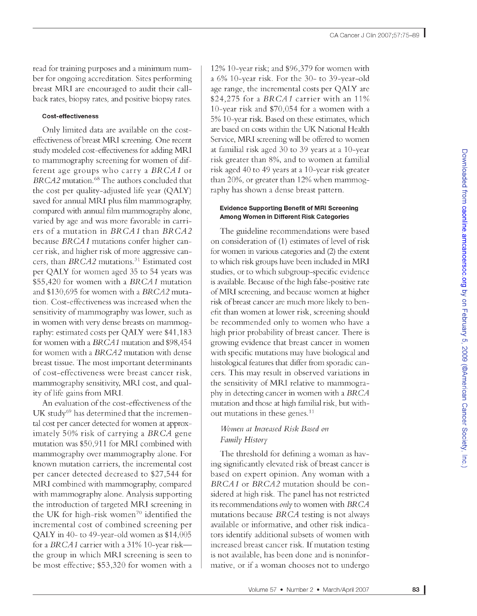read for training purposes and a minimum number for ongoing accreditation. Sites performing breast MRI are encouraged to audit their callback rates, biopsy rates, and positive biopsy rates.

## **Cost-effectiveness**

Only limited data are available on the costeffectiveness of breast MRI screening. One recent study modeled cost-effectiveness for adding MRI to mammography screening for women of different age groups who carry a BRCA1 or *BRCA2* mutation.68 The authors concluded that the cost per quality-adjusted life year (QALY) saved for annual MRI plus film mammography, compared with annual film mammography alone, varied by age and was more favorable in carriers of a mutation in *BRCA1* than *BRCA2* because *BRCA1* mutations confer higher cancer risk, and higher risk of more aggressive cancers, than *BRCA2* mutations.<sup>31</sup> Estimated cost per QALY for women aged 35 to 54 years was \$55,420 for women with a *BRCA1* mutation and \$130,695 for women with a *BRCA2* mutation. Cost-effectiveness was increased when the sensitivity of mammography was lower, such as in women with very dense breasts on mammography: estimated costs per QALY were \$41,183 for women with a *BRCA1* mutation and \$98,454 for women with a *BR\_CA2* mutation with dense breast tissue. The most important determinants of cost-effectiveness were breast cancer risk, mammography sensitivity, MRI cost, and quality of life gains from MRI.

An evaluation of the cost-effectiveness of the UK study<sup>69</sup> has determined that the incremental cost per cancer detected for women at approximately 50% risk of carrying a *BRCA* gene mutation was \$50,911 for MRI combined with mammography over mammography alone. For known mutation carriers, the incremental cost per cancer detected decreased to \$27,544 for MRI combined with mammography, compared with mammography alone. Analysis supporting the introduction of targeted MRI screening in the UK for high-risk women<sup>70</sup> identified the incremental cost of combined screening per QALY in 40- to 49-year-old women as \$14,005 for a *BRCA1* carrier with a 31% 10-year risk the group in which MRI screening is seen to be most effective; \$53,320 for women with a 12% 10-year risk; and \$96,379 for women with a 6% 10-year risk. For the 30- to 39-year-old age range, the incremental costs per QALY are \$24,275 for a *BRCA1* carrier with an 11% 10-year risk and \$70,054 for a women with a 5% 10-year risk. Based on these estimates, which are based on costs within the UK National Health Service, MRI screening will be offered to women at familial risk aged 30 to 39 years at a 10-year risk greater than 8%, and to women at familial risk aged 40 to 49 years at a 10-year risk greater than 20%, or greater than 12% when mammography has shown a dense breast pattern.

#### **Evidence Supporting Benefit of MRI Screening Among Women in Different Risk Categories**

The guideline recommendations were based on consideration of (1) estimates of level of risk for women in various categories and (2) the extent to which risk groups have been included in MRI studies, or to which subgroup-specific evidence is available. Because of the high false-positive rate of MRI screening, and because women at higher risk of breast cancer are much more likely to benefit than women at lower risk, screening should be recommended only to women who have a high prior probability of breast cancer. There is growing evidence that breast cancer in women with specific mutations may have biological and histological features that differ from sporadic cancers. This may result in observed variations in the sensitivity of MRI relative to mammography in detecting cancer in women with a *BRCA* mutation and those at high familial risk, but without mutations in these genes.<sup>11</sup>

## *Women at Increased Risk Based on Family History*

The threshold for defining a woman as having significantly elevated risk of breast cancer is based on expert opinion. Any woman with a *BRCA1* or *BRCA2* mutation should be considered at high risk. The panel has not restricted its recommendations *only* to women with *BRCA* mutations because *BRC A* testing is not always available or informative, and other risk indicators identify additional subsets of women with increased breast cancer risk. If mutation testing is not available, has been done and is noninformative, or if a woman chooses not to undergo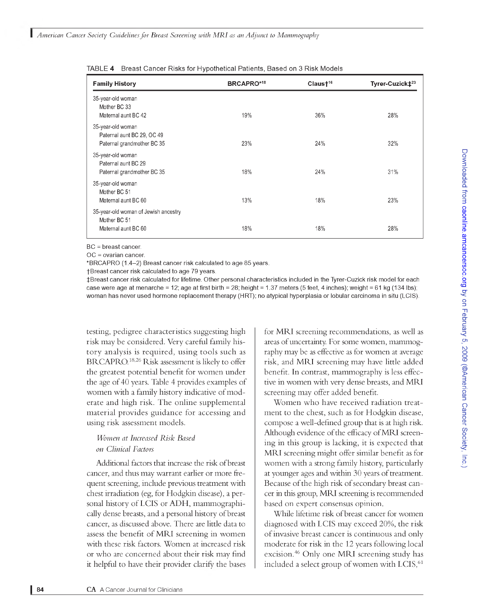| <b>Family History</b>                                                         | <b>BRCAPRO*18</b> | Claus <sup>16</sup> | Tyrer-Cuzick‡ <sup>23</sup> |
|-------------------------------------------------------------------------------|-------------------|---------------------|-----------------------------|
| 35-year-old woman<br>Mother BC 33                                             |                   |                     |                             |
| Maternal aunt BC 42                                                           | 19%               | 36%                 | 28%                         |
| 35-year-old woman<br>Paternal aunt BC 29, OC 49<br>Paternal grandmother BC 35 | 23%               | 24%                 | 32%                         |
| 35-year-old woman<br>Paternal aunt BC 29<br>Paternal grandmother BC 35        | 18%               | 24%                 | 31%                         |
| 35-year-old woman<br>Mother BC 51<br>Maternal aunt BC 60                      | 13%               | 18%                 | 23%                         |
| 35-year-old woman of Jewish ancestry<br>Mother BC 51<br>Maternal aunt BC 60   | 18%               | 18%                 | 28%                         |

BC = breast cancer.

OC = ovarian cancer.

\*BRCAPRO (1.4-2) Breast cancer risk calculated to age 85 years.

fBreast cancer risk calculated to age 79 years.

JBreast cancer risk calculated for lifetime. Other personal characteristics included in the Tyrer-Cuzick risk model for each case were age at menarche = 12; age at first birth = 28; height = 1.37 meters (5 feet, 4 inches); weight = 61 kg (134 lbs); woman has never used hormone replacement therapy (HRT); no atypical hyperplasia or lobular carcinoma in situ (LCIS).

testing, pedigree characteristics suggesting high risk may be considered. Very careful family history analysis is required, using tools such as BRCAPRO.18,26 Risk assessment is likely to offer the greatest potential benefit for women under the age of 40 years. Table 4 provides examples of women with a family history indicative of moderate and high risk. The online supplemental material provides guidance for accessing and using risk assessment models.

## *Women at Increased Risk Based on Clinical Factors*

Additional factors that increase the risk of breast cancer, and thus may warrant earlier or more frequent screening, include previous treatment with chest irradiation (eg, for Hodgkin disease), a personal history of LCIS or ADH, mammographically dense breasts, and a personal history of breast cancer, as discussed above. There are little data to assess the benefit of MRI screening in women with these risk factors. Women at increased risk or who are concerned about their risk may find it helpful to have their provider clarify the bases for MRI screening recommendations, as well as areas of uncertainty. For some women, mammography may be as effective as for women at average risk, and MRI screening may have little added benefit. In contrast, mammography is less effective in women with very dense breasts, and MRI screening may offer added benefit.

Women who have received radiation treatment to the chest, such as for Hodgkin disease, compose a well-defined group that is at high risk. Although evidence of the efficacy of MRI screening in this group is lacking, it is expected that MRI screening might offer similar benefit as for women with a strong family history, particularly at younger ages and within 30 years of treatment. Because of the high risk of secondary breast cancer in this group, MRI screening is recommended based on expert consensus opinion.

While lifetime risk of breast cancer for women diagnosed with LCIS may exceed 20%, the risk of invasive breast cancer is continuous and only moderate for risk in the 12 years following local excision.<sup>46</sup> Only one MRI screening study has included a select group of women with LCIS,<sup>61</sup>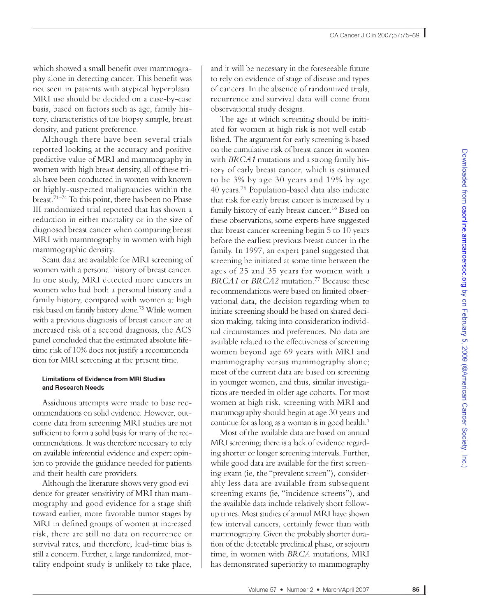which showed a small benefit over mammography alone in detecting cancer. This benefit was not seen in patients with atypical hyperplasia. MRI use should be decided on a case-by-case basis, based on factors such as age, family history, characteristics of the biopsy sample, breast density, and patient preference.

Although there have been several trials reported looking at the accuracy and positive predictive value of MRI and mammography in women with high breast density, all of these trials have been conducted in women with known or highly-suspected malignancies within the breast.71-74 To this point, there has been no Phase III randomized trial reported that has shown a reduction in either mortality or in the size of diagnosed breast cancer when comparing breast MRI with mammography in women with high mammographic density.

Scant data are available for MRI screening of women with a personal history of breast cancer. In one study, MRI detected more cancers in women who had both a personal history and a family history, compared with women at high risk based on family history alone.75 While women with a previous diagnosis of breast cancer are at increased risk of a second diagnosis, the ACS panel concluded that the estimated absolute lifetime risk of 10% does not justify a recommendation for MRI screening at the present time.

#### **Limitations of Evidence from MRI Studies and Research Needs**

Assiduous attempts were made to base recommendations on solid evidence. However, outcome data from screening MRI studies are not sufficient to form a solid basis for many of the recommendations. It was therefore necessary to rely on available inferential evidence and expert opinion to provide the guidance needed for patients and their health care providers.

Although the literature shows very good evidence for greater sensitivity of MRI than mammography and good evidence for a stage shift toward earlier, more favorable tumor stages by MRI in defined groups of women at increased risk, there are still no data on recurrence or survival rates, and therefore, lead-time bias is still a concern. Further, a large randomized, mortality endpoint study is unlikely to take place, and it will be necessary in the foreseeable future to rely on evidence of stage of disease and types of cancers. In the absence of randomized trials, recurrence and survival data will come from observational study designs.

The age at which screening should be initiated for women at high risk is not well established. The argument for early screening is based on the cumulative risk of breast cancer in women with *BRCA1* mutations and a strong family history of early breast cancer, which is estimated to be 3% by age 30 years and 19% by age 40 years.76 Population-based data also indicate that risk for early breast cancer is increased by a family history of early breast cancer.<sup>16</sup> Based on these observations, some experts have suggested that breast cancer screening begin 5 to 10 years before the earliest previous breast cancer in the family. In 1997, an expert panel suggested that screening be initiated at some time between the ages of 25 and 35 years for women with a *BRCA1* or *BRCA2* mutation.<sup>77</sup> Because these recommendations were based on limited observational data, the decision regarding when to initiate screening should be based on shared decision making, taking into consideration individual circumstances and preferences. No data are available related to the effectiveness of screening women beyond age 69 years with MRI and mammography versus mammography alone; most of the current data are based on screening in younger women, and thus, similar investigations are needed in older age cohorts. For most women at high risk, screening with MRI and mammography should begin at age 30 years and continue for as long as a woman is in good health.<sup>1</sup>

Most of the available data are based on annual MRI screening; there is a lack of evidence regarding shorter or longer screening intervals. Further, while good data are available for the first screening exam (ie, the "prevalent screen"), considerably less data are available from subsequent screening exams (ie, "incidence screens"), and the available data include relatively short followup times. Most studies of annual MRI have shown few interval cancers, certainly fewer than with mammography. Given the probably shorter duration of the detectable preclinical phase, or sojourn time, in women with *BRCA* mutations, MRI has demonstrated superiority to mammography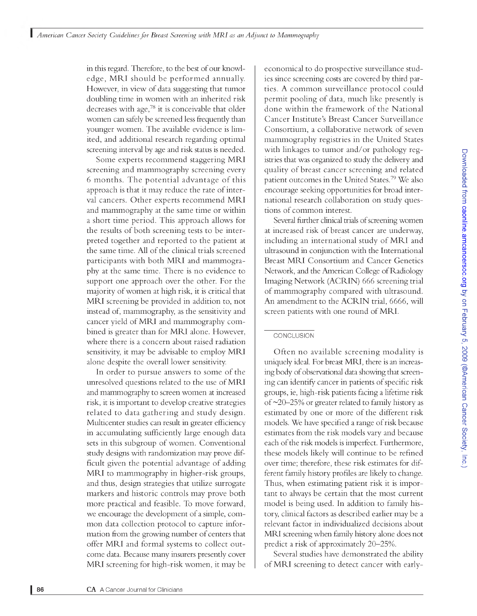in this regard. Therefore, to the best of our knowledge, MRI should be performed annually. However, in view of data suggesting that tumor doubling time in women with an inherited risk decreases with age,78 it is conceivable that older women can safely be screened less frequently than younger women. The available evidence is limited, and additional research regarding optimal screening interval by age and risk status is needed.

Some experts recommend staggering MRI screening and mammography screening every 6 months. The potential advantage of this approach is that it may reduce the rate of interval cancers. Other experts recommend MRI and mammography at the same time or within a short time period. This approach allows for the results of both screening tests to be interpreted together and reported to the patient at the same time. All of the clinical trials screened participants with both MRI and mammography at the same time. There is no evidence to support one approach over the other. For the majority of women at high risk, it is critical that MRI screening be provided in addition to, not instead of, mammography, as the sensitivity and cancer yield of MRI and mammography combined is greater than for MRI alone. However, where there is a concern about raised radiation sensitivity, it may be advisable to employ MRI alone despite the overall lower sensitivity.

In order to pursue answers to some of the unresolved questions related to the use of MRI and mammography to screen women at increased risk, it is important to develop creative strategies related to data gathering and study design. Multicenter studies can result in greater efficiency in accumulating sufficiently large enough data sets in this subgroup of women. Conventional study designs with randomization may prove difficult given the potential advantage of adding MRI to mammography in higher-risk groups, and thus, design strategies that utilize surrogate markers and historic controls may prove both more practical and feasible. To move forward, we encourage the development of a simple, common data collection protocol to capture information from the growing number of centers that offer MRI and formal systems to collect outcome data. Because many insurers presently cover MRI screening for high-risk women, it may be

economical to do prospective surveillance studies since screening costs are covered by third parties. A common surveillance protocol could permit pooling of data, much like presently is done within the framework of the National Cancer Institute's Breast Cancer Surveillance Consortium, a collaborative network of seven mammography registries in the United States with linkages to tumor and/or pathology registries that was organized to study the delivery and quality of breast cancer screening and related patient outcomes in the United States.79 We also encourage seeking opportunities for broad international research collaboration on study questions of common interest.

Several further clinical trials of screening women at increased risk of breast cancer are underway, including an international study of MRI and ultrasound in conjunction with the International Breast MRI Consortium and Cancer Genetics Network, and the American College of Radiology Imaging Network (ACRIN) 666 screening trial of mammography compared with ultrasound. An amendment to the ACRIN trial, 6666, will screen patients with one round of MRI.

#### **CONCLUSION**

Often no available screening modality is uniquely ideal. For breast MRI, there is an increasing body of observational data showing that screening can identify cancer in patients of specific risk groups, ie, high-risk patients facing a lifetime risk of  $\approx$  20–25% or greater related to family history as estimated by one or more of the different risk models. We have specified a range of risk because estimates from the risk models vary and because each of the risk models is imperfect. Furthermore, these models likely will continue to be refined over time; therefore, these risk estimates for different family history profiles are likely to change. Thus, when estimating patient risk it is important to always be certain that the most current model is being used. In addition to family history, clinical factors as described earlier may be a relevant factor in individualized decisions about MRI screening when family history alone does not predict a risk of approximately 20-25%.

Several studies have demonstrated the ability of MRI screening to detect cancer with early-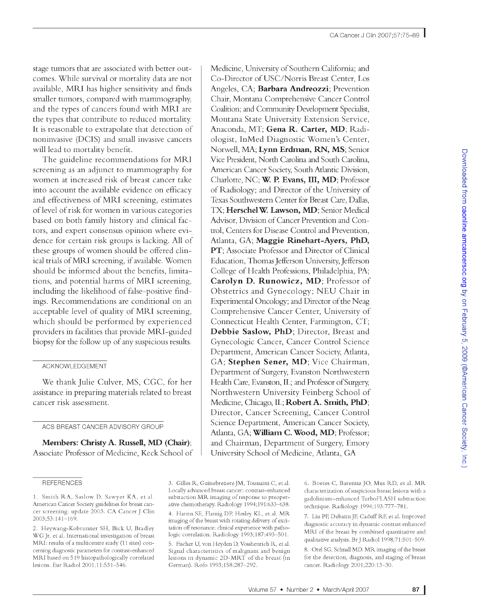stage tumors that are associated with better outcomes. While survival or mortality data are not available, MRI has higher sensitivity and finds smaller tumors, compared with mammography, and the types of cancers found with MRI are the types that contribute to reduced mortality. It is reasonable to extrapolate that detection of noninvasive (DCIS) and small invasive cancers will lead to mortality benefit.

The guideline recommendations for MRI screening as an adjunct to mammography for women at increased risk of breast cancer take into account the available evidence on efficacy and effectiveness of MRI screening, estimates of level of risk for women in various categories based on both family history and clinical factors, and expert consensus opinion where evidence for certain risk groups is lacking. All of these groups of women should be offered clinical trials of MRI screening, if available. Women should be informed about the benefits, limitations, and potential harms of MRI screening, including the likelihood of false-positive findings. Recommendations are conditional on an acceptable level of quality of MRI screening, which should be performed by experienced providers in facilities that provide MRI-guided biopsy for the follow up of any suspicious results.

#### ACKNOWLEDGEMENT

We thank Julie Culver, MS, CGC, for her assistance in preparing materials related to breast cancer risk assessment.

ACS BREAST CANCER ADVISORY GROUP

Members: Christy A. Russell, MD (Chair); Associate Professor of Medicine, Keck School of

#### **REFERENCES**

3. Gilles R, Guinebretiere JM, Toussaint C, et al. Locally advanced breast cancer: contrast-enhanced subtraction MR imaging of response to preoperative chemotherapy. R adiology 1994;191:633-638. 4. Harms SE, Flamig DP, Hesley KL, et al. MR. imaging of the breast with rotating delivery of excitation off resonance: clinical experience with pathologic correlation. Radiology 1993;187:493-501. 5. Fischer U, von Heyden D, Vosshenrich R, et al.

Signal characteristics of malignant and benign lesions in dynamic 2D-MRT of the breast (in German). Rofo 1993;158:287-292.

6. Boetes C, Barentsz JO, Mus RD, et al. MR characterization of suspicious breast lesions with a gadolinium-enhanced TurboFLASH subtraction technique. R adiology 1994;193:777-781.

7. Liu PF, Debatin JF, Caduff RF, et al. Improved diagnostic accuracy in dynamic contrast enhanced MRI of the breast by combined quantitative and qualitative analysis. Br J Radiol 1998;71:501-509.

8. Orel SG, Schnall MD. MR imaging of the breast for the detection, diagnosis, and staging of breast cancer. Radiology 2001;220:13-30.

Co-Director of USC/Norris Breast Center, Los Angeles, CA; Barbara Andreozzi; Prevention Chair, Montana Comprehensive Cancer Control Coalition; and Community Development Specialist, Montana State University Extension Service, Anaconda, MT; Gena R. Carter, MD; Radiologist, InMed Diagnostic Women's Center, Norwell, MA; Lynn Erdman, RN, MS; Senior Vice President, North Carolina and South Carolina, American Cancer Society, South Atlantic Division, Charlotte, NC; W. P. Evans, III, MD; Professor of Radiology; and Director of the University of Texas Southwestern Center for Breast Care, Dallas, TX; Herschel W. Lawson, MD; Senior Medical Advisor, Division of Cancer Prevention and Control, Centers for Disease Control and Prevention, Atlanta, GA; Maggie Rinehart-Ayers, PhD, **PT**; Associate Professor and Director of Clinical Education, Thomas Jefferson University, Jefferson College of Health Professions, Philadelphia, PA; Carolyn D. Runowicz, MD; Professor of Obstetrics and Gynecology; NEU Chair in Experimental Oncology; and Director of the Neag Comprehensive Cancer Center, University of Connecticut Health Center, Farmington, CT; Debbie Saslow, PhD; Director, Breast and Gynecologic Cancer, Cancer Control Science Department, American Cancer Society, Atlanta, GA; Stephen Sener, MD; Vice Chairman, Department of Surgery, Evanston Northwestern Health Care, Evanston, IL; and Professor of Surgery, Northwestern University Feinberg School of Medicine, Chicago, IL; Robert A. Smith, PhD; Director, Cancer Screening, Cancer Control Science Department, American Cancer Society, Atlanta, GA; William C. Wood, MD; Professor; and Chairman, Department of Surgery, Emory University School of Medicine, Atlanta, GA

Medicine, University of Southern California; and

<sup>1.</sup> Smith RA, Saslow D, Sawyer KA, et al. American Cancer Society guidelines for breast cancer screening: update 2003. CA Cancer J Clin 2003;53:141-169.

<sup>2.</sup> Heywang-Kobrunner SH, Bick U, Bradley WG Jr, et al. International investigation of breast MRI: results of a multicentre study (11 sites) concerning diagnostic parameters for contrast-enhanced MRI based on 519 histopathologically correlated lesions. Eur Radiol 2001;11:531-546.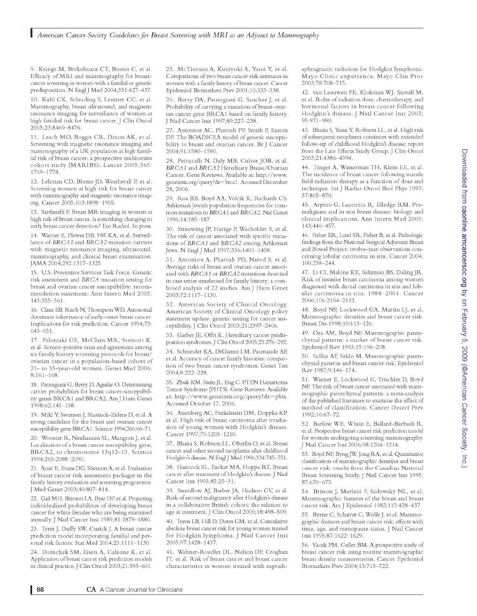9. Kriege M, Brekelmans CT, Boetes C, et al. Efficacy of MRI and mammography for breastcancer screening in women with a familial or genetic predisposition. N Engl J Med 2004;351:427-437.

10. Kuhl CK, Schrading S, Leutner CC, et al. Mammography, breast ultrasound, and magnetic resonance imaging for surveillance of women at high familial risk for breast cancer. J Clin Oncol 2005;23:8469-8476.

11. Leach MO, Boggis CR, Dixon AK, et al. Screening with magnetic resonance imaging and mammography of a UK population at high familial risk of breast cancer: a prospective multicentre cohort study (MARIBS). Lancet 2005;365: 1769-1778.

12. Lehman CD, Blume JD, Weatherall P, et al. Screening women at high risk for breast cancer with mammography and magnetic resonance imaging. Cancer 2005;103:1898-1905.

13. Sardanelli F. Breast MR imaging in women at high risk of breast cancer. Is something changing in early breast cancer detection? Eur Radiol. In press.

14. Warner E, Plewes DB, Hill KA, et al. Surveillance of *BRCA1* and *BRCA2* mutation carriers with magnetic resonance imaging, ultrasound, mammography, and clinical breast examination. JAMA 2004;292:1317-1325.

15. U.S. Preventive Services Task Force. Genetic risk assessment and *BRCA* mutation testing for breast and ovarian cancer susceptibility: recommendation statement. Ann Intern Med 2005; 143:355-361.

16. Claus EB, Risch N, Thompson WD. Autosomal dominant inheritance of early-onset breast cancer. Implications for risk prediction. Cancer 1994;73: 643-651.

17. Palomaki GE, McClain MR, Steinort K, et al. Screen-positive rates and agreement among six family history screening protocols for breast/ ovarian cancer in a population-based cohort of 21- to 55-year-old women. Genet Med 2006;  $8:161-168.$ 

18. Parmigiani G, Berry D, Aguilar O. Determining carrier probabilities for breast cancer-susceptibility genes BRCA1 and BRCA2. Am J Hum Genet 1998;62:145-158.

19. Miki Y, Swensen J, Shattuck-Eidens D, et al. A strong candidate for the breast and ovarian cancer susceptibility gene BRCA1. Science 1994;266:66-71.

20. Wooster R, Neuhausen SL, Mangion J, et al. Localization of a breast cancer susceptibility gene, BRCA2, to chromosome 13q12-13. Science 1994;265:2088-2090.

21. Amir E, Evans DG, Shenton A, et al. Evaluation of breast cancer risk assessment packages in the family history evaluation and screening programme. J Med Genet 2003;40:807-814.

22. Gail MH, Brinton LA, Byar DP, et al. Projecting individualized probabilities of developing breast cancer for white females who are being examined annually. J Natl Cancer Inst 1989;81:1879-1886.

23. Tyrer J, Duffy SW, Cuzick J. A breast cancer prediction model incorporating familial and personal risk factors. Stat Med 2004;23:1111-1130.

24. Domchek SM, Eisen A, Calzone K, et al. Application of breast cancer risk prediction models in clinical practice. J Clin Oncol 2003;21:593-601. 25. McTiernan A, Kuniyuki A, Yasui Y, et al. Comparisons of two breast cancer risk estimates in women with a family history of breast cancer. Cancer Epidemiol Biomarkers Prev 2001;10:333-338.

26. Berry DA, Parmigiani G, Sanchez J, et al. Probability of carrying a mutation of breast-ovarian cancer gene BRCA1 based on family history. J Natl Cancer Inst 1997;89:227-238.

27. Antoniou AC, Pharoah PP, Smith P, Easton DF. The BOADICEA model of genetic susceptibility to breast and ovarian cancer. Br J Cancer 2004;91:1580-1590.

28. Petrucelli N, Daly MB, Culver JOB, et al. *BR CA1* and *BR CA2* Hereditary Breast/Ovarian Cancer. Gene Reviews. Available at: http://www. genetests.org/query?dz=brca1. Accessed Decem ber 28, 2006.

29. Roa BB, Boyd AA, Volcik K, Richards CS. Ashkenazi Jewish population frequencies for com mon mutations in *BRCA1* and *BRCA2*. Nat Genet 1996;14:185-187.

30. Struewing JP, Hartge P, Wacholder S, et al. The risk of cancer associated with specific mutations of *BRCA1* and *BRCA2* among Ashkenazi Jews. N Engl J Med 1997;336:1401-1408.

31. Antoniou A, Pharoah PD, Narod S, et al. Average risks of breast and ovarian cancer associated with *BRCA1* or *BRCA2* mutations detected in case series unselected for family history: a com bined analysis of 22 studies. Am J Hum Genet 2003;72:1117-1130.

32. American Society of Clinical Oncology. American Society of Clinical Oncology policy statement update: genetic testing for cancer susceptibility. J Clin Oncol 2003;21:2397-2406.

33. Garber JE, Offit K. Hereditary cancer predisposition syndromes. J Clin Oncol 2005;23:276-292.

34. Schneider KA, DiGianni LM, Patenaude AF, et al. Accuracy of cancer family histories: comparison of two breast cancer syndromes. Genet Test 2004;8:222-228.

35. Zbuk KM, Stein JL, Eng C. PTEN Hamartoma Tumor Syndrome (PHTS). Gene Reviews. Available at: http://www.genetests.org/query?dz=phts. Accessed October 17, 2006.

36. Aisenberg AC, Finkelstein DM, Doppke KP et al. High risk of breast carcinoma after irradiation of young women with Hodgkin's disease. Cancer 1997;79:1203-1210.

37. Bhatia S, Robison LL, Oberlin O, et al. Breast cancer and other second neoplasms after childhood Hodgkin's disease. N Engl J Med 1996;334:745-751.

38. Hancock SL, Tucker MA, Hoppe RT. Breast cancer after treatment of Hodgkin's disease. J Natl Cancer Inst 1993;85:25-31.

39. Swerdlow AJ, Barber JA, Hudson GV, et al. Risk of second malignancy after Hodgkin's disease in a collaborative British cohort: the relation to age at treatment. J Clin Oncol 2000;18:498-509.

40. Travis LB, Hill D, Dores GM , et al. Cumulative absolute breast cancer risk for young women treated for Hodgkin lymphoma. J Natl Cancer Inst 2005;97:1428-1437.

41. Wahner-Roedler DL, Nelson DF, Croghan IT, et al. Risk of breast cancer and breast cancer characteristics in women treated with supradiaphragmatic radiation for Hodgkin lymphoma: Mayo Clinic experience. Mayo Clin Proc 2003;78:708-715.

42. van Leeuwen FE, Klokman WJ, Stovall M, et al. Roles of radiation dose, chemotherapy, and h orm onal factors in breast cancer following Hodgkin's disease. J Natl Cancer Inst 2003; 95:971-980.

43. Bhatia S, Yasui Y, Robison LL, et al. High risk of subsequent neoplasms continues with extended follow-up of childhood Hodgkin's disease: report from the Late Effects Study Group. J Clin Oncol 2003;21:4386-4394.

44. Tinger A, Wasserman TH, Klein EE, et al. The incidence of breast cancer following mantle field radiation therapy as a function of dose and technique. Int J Radiat Oncol Biol Phys 1997; 37:865-870.

45. Arpino G, Laucirica R, Elledge RM. Premalignant and in situ breast disease: biology and clinical implications. Ann Intern Med 2005; 143:446-457.

46. Fisher ER, Land SR, Fisher B, et al. Pathologic findings from the National Surgical Adjuvant Breast and Bowel Project: twelve-year observations concerning lobular carcinoma in situ. Cancer 2004; 100:238-244.

47. Li CI, Malone KE, Saltzman BS, Daling JR. Risk of invasive breast carcinoma among women diagnosed with ductal carcinoma in situ and lobular carcinoma in situ, 1988-2001. Cancer 2006;106:2104-2112.

48. Boyd NF, Lockwood GA, Martin LJ, et al. Mammographic densities and breast cancer risk. B reast Dis 1998;10:113-126.

49. Oza AM, Boyd NF. Mammographic parenchymal patterns: a marker of breast cancer risk. Epidemiol Rev 1993;15:196-208.

50. Saftlas AF, Szklo M. Mammographic parenchymal patterns and breast cancer risk. Epidemiol Rev 1987;9:146-174.

51. Warner E, Lockwood G, Tritchler D, Boyd NF. The risk of breast cancer associated with mamm ographic parenchym al patterns: a meta-analysis of the published literature to examine the effect of method of classification. Cancer Detect Prev 1992;16:67-72.

52. Barlow WE, White E, Ballard-Barbash R, et al. Prospective breast cancer risk prediction model for women undergoing screening mammography. J Natl Cancer Inst 2006;98:1204-1214.

53. Boyd NF, Byng JW, Jong RA, et al. Quantitative classification of mammographic densities and breast cancer risk: results from the Canadian National Breast Screening Study. J Natl Cancer Inst 1995; 87:670-675.

54. Brisson J, Merletti F, Sadowsky NL, et al. Mammographic features of the breast and breast cancer risk. Am J Epidemiol 1982;115:428-437.

55. Byrne C, Schairer C, Wolfe J, et al. Mammographic features and breast cancer risk: effects with time, age, and menopause status. J Natl Cancer Inst 1995;87:1622-1629.

56. Vacek PM, Geller BM. A prospective study of breast cancer risk using routine mammographic breast density measurements. Cancer Epidemiol Biomarkers Prev 2004;13:715-722.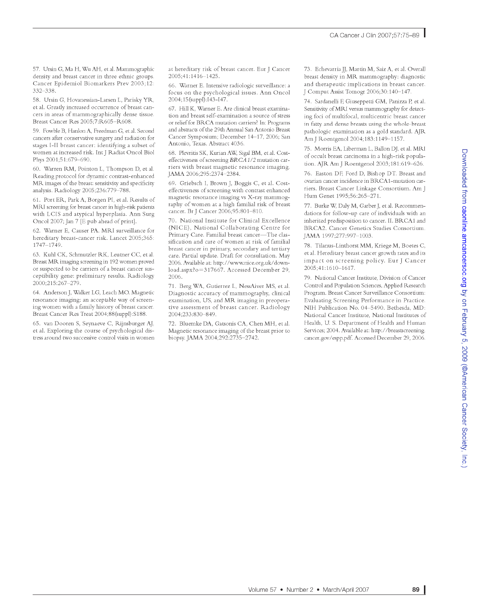57. Ursin G, Ma H, Wu AH, et al. Mammographic density and breast cancer in three ethnic groups. Cancer Epidemiol Biomarkers Prev 2003;12: 3 32-338.

58. Ursin G, Hovanessian-Larsen L, Parisky YR, et al. Greatly increased occurrence of breast cancers in areas of mammographically dense tissue. Breast Cancer Res 2005;7:R605-R608.

59. Fowble B, Hanlon A, Freedman G, et al. Second cancers after conservative surgery and radiation for stages I-II breast cancer: identifying a subset of women at increased risk. Int J Radiat Oncol Biol Phys 2001;51:679-690.

60. Warren RM, Pointon L, Thompson D, et al. Reading protocol for dynamic contrast-enhanced MR images of the breast: sensitivity and specificity analysis. R adiology 2005;236:779-788.

61. Port ER, Park A, Borgen PI, et al. Results of MRI screening for breast cancer in high-risk patients with LCIS and atypical hyperplasia. Ann Surg Oncol 2007; Jan 7 [E pub ahead of print].

62. Warner E, Causer PA. MRI surveillance for hereditary breast-cancer risk. Lancet 2005;365: 1747-1749.

63. Kuhl CK, Schmutzler RK, Leutner CC, et al. Breast MR imaging screening in 192 women proved or suspected to be carriers of a breast cancer susceptibility gene: preliminary results. Radiology 2000;215:267-279.

64. Anderson J, Walker LG, Leach MO. Magnetic resonance imaging: an acceptable way of screening women with a family history of breast cancer. Breast Cancer Res Treat 2004;88(suppl):S188.

65. van Dooren S, Seynaeve C, Rijnsburger AJ, et al. Exploring the course of psychological distress around two successive control visits in women at hereditary risk of breast cancer. Eur J Cancer 2005;41:1416-1425.

66. Warner E. Intensive radiologic surveillance: a focus on the psychological issues. Ann Oncol 2004;15(suppl):I43-I47.

67. Hill K, Warner E. Are clinical breast examination and breast self-examination a source of stress or relief for BRCA mutation carriers? In: Programs and abstracts of the 29th Annual San Antonio Breast Cancer Symposium; December 14-17, 2006; San Antonio, Texas. Abstract 4036.

68. Plevritis SK, Kurian AW, Sigal BM, et al. Costeffectiveness of screening *BRCA1/2* mutation carriers with breast magnetic resonance imaging. JAMA 2006;295:2374-2384.

69. Griebsch I, Brown J, Boggis C, et al. Costeffectiveness of screening with contrast enhanced magnetic resonance imaging vs X-ray mammography of women at a high familial risk of breast cancer. Br J Cancer 2006;95:801-810.

70. National Institute for Clinical Excellence (NICE), National Collaborating Centre for Primary Care. Familial breast cancer—The classification and care of women at risk of familial breast cancer in primary, secondary and tertiary care. Partial update. Draft for consultation. May 2006. Available at: http://www.nice.org.uk/download.aspx?o=317667. Accessed December 29, 2006.

71. Berg WA, Gutierrez L, NessAiver MS, et al. Diagnostic accuracy of mammography, clinical examination, US, and MR imaging in preoperative assessment of breast cancer. Radiology 2004;233:830-849.

72. Bluemke DA, Gatsonis CA, Chen MH, et al. Magnetic resonance imaging of the breast prior to biopsy. JAMA 2004;292:2735-2742.

73. Echevarria JJ, Martin M, Saiz A, et al. Overall breast density in MR mammography: diagnostic and therapeutic implications in breast cancer. J Comput Assist Tomogr 2006;30:140-147.

74. Sardanelli F, Giuseppetti GM, Panizza P, et al. Sensitivity of MRI versus mammography for detecting foci of multifocal, multicentric breast cancer in fatty and dense breasts using the whole-breast pathologic examination as a gold standard. AJR Am J Roentgenol 2004;183:1149-1157.

75. Morris EA, Liberman L, Ballon DJ, et al. MRI of occult breast carcinoma in a high-risk population. AJR Am J Roentgenol 2003;181:619-626.

76. Easton DF, Ford D, Bishop DT. Breast and ovarian cancer incidence in BRCA1-mutation carriers. Breast Cancer Linkage Consortium. Am J Hum Genet 1995;56:265-271.

77. Burke W, Daly M, Garber J, et al. Recommendations for follow-up care of individuals with an inherited predisposition to cancer. II. BRCA1 and BRCA2. Cancer Genetics Studies Consortium. JAMA 1997;277:997-1003.

78. Tilanus-Linthorst MM, Kriege M, Boetes C, et al. Hereditary breast cancer growth rates and its impact on screening policy. Eur J Cancer 2005;41:1610-1617.

79. National Cancer Institute, Division of Cancer Control and Population Sciences, Applied Research Program. Breast Cancer Surveillance Consortium: Evaluating Screening Performance in Practice. NIH Publication No. 04-5490. Bethesda, MD: National Cancer Institute, National Institutes of Health, U. S. Department of Health and Human Services; 2004. Available at: [http://breastscreening.](http://breastscreening) cancer.gov/espp.pdf. Accessed December 29, 2006.